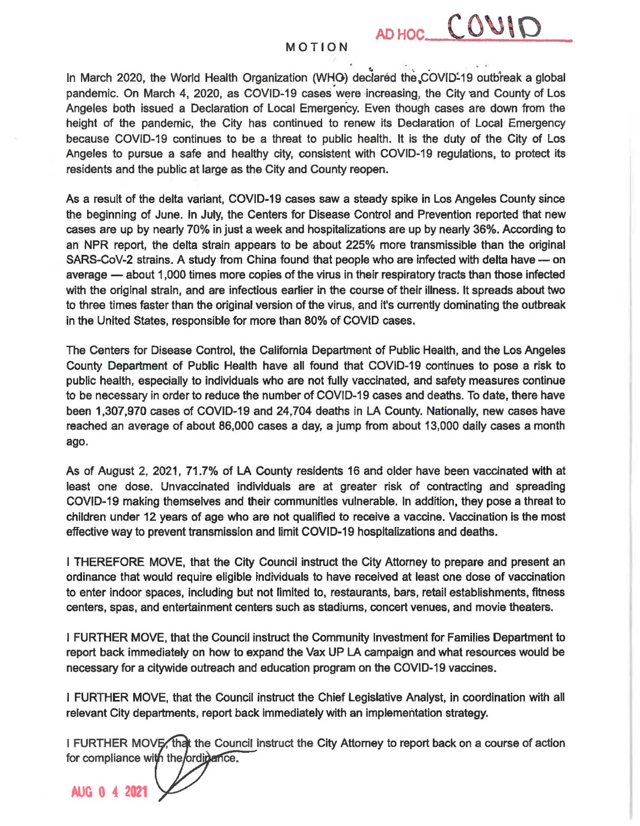AD HOC COUID

In March 2020, the World Health Organization (WHO) declared the COVID-19 outbreak a global pandemic. On March 4, 2020, as COVID-19 cases were increasing, the City and County of Los Angeles both issued a Declaration of Local Emergency. Even though cases are down from the height of the pandemic, the City has continued to renew its Declaration of Local Emergency because COV/D-19 continues to be a threat to public health. It is the duty of the City of Los Angeles to pursue a safe and healthy city, consistent with COVID-19 regulations, to protect its residents and the public at large as the City and County reopen.

As a result of the delta variant, COVID-19 cases saw a steady spike in Los Angeles County since the beginning of June. In July, the Centers for Disease Control and Prevention reported that new cases are up by nearly 70% in just a week and hospitalizations are up by nearly 36%. According to an NPR report, the delta strain appears to be about 225% more transmissible than the original SARS-CoV-2 strains. A study from China found that people who are infected with delta have - on average  $-$  about 1,000 times more copies of the virus in their respiratory tracts than those infected with the original strain, and are infectious earlier in the course of their illness. It spreads about two to three times faster than the original version of the virus, and it's currently dominating the outbreak in the United States, responsible for more than 80% of COVID cases.

The Centers for Disease Control, the California Department of Public Health, and the Los Angeles County Department of Public Health have all found that COVID-19 continues to pose a risk to public health, especially to individuals who are not fully vaccinated, and safety measures continue to be necessary in order to reduce the number of COVID-19 cases and deaths. To date, there have been 1,307,970 cases of COVID-19 and 24,704 deaths in LA County. Nationally, new cases have reached an average of about 86,000 cases a day, a jump from about 13,000 daily cases a month ago.

As of August 2, 2021, 71.7% of LA County residents 16 and older have been vaccinated with at least one dose. Unvaccinated individuals are at greater risk of contracting and spreading COVID-19 making themselves and their communities vulnerable. In addition, they pose a threat to children under 12 years of age who are not qualified to receive a vaccine. Vaccination is the most effective way to prevent transmission and limit COVID-19 hospitalizations and deaths.

I THEREFORE MOVE, that the City Council instruct the City Attorney to prepare and present an ordinance that would require eligible individuals to have received at least one dose of vaccination to enter indoor spaces, including but not limited to, restaurants, bars, retail establishments, fitness centers, spas, and entertainment centers such as stadiums, concert venues, and movie theaters.

I FURTHER MOVE, that the Council instruct the Community Investment for Families Department to report back immediately on how to expand the Vax UP LA campaign and what resources would be necessary for a citywide outreach and education program on the COVID-19 vaccines.

I FURTHER MOVE, that the Council instruct the Chief legislative Analyst, in coordination with all relevant City departments, report back immediately with an implementation strategy.

I FURTHER MOVE, that the Council instruct the City Attorney to report back on a course of action for compliance with the/ordir

**AUG 0 4 2021**